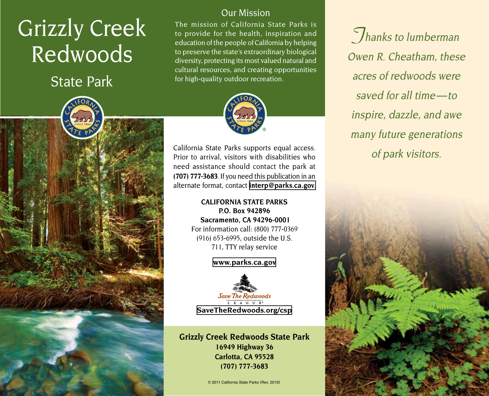# Grizzly Creek Redwoods

State Park

### Our Mission

The mission of California State Parks is to provide for the health, inspiration and education of the people of California by helping to preserve the state's extraordinary biological diversity, protecting its most valued natural and cultural resources, and creating opportunities for high-quality outdoor recreation.



California State Parks supports equal access. Prior to arrival, visitors with disabilities who need assistance should contact the park at **(707) 777-3683**. If you need this publication in an alternate format, contact **[interp@parks.ca.gov](mailto:interp@parks.ca.gov.)**.

#### **CALIFORNIA STATE PARKS P.O. Box 942896 Sacramento, CA 94296-0001** For information call: (800) 777-0369 (916) 653-6995, outside the U.S. 711, TTY relay service

**[www.parks.ca.gov](http://www.parks.ca.gov)**



**Grizzly Creek Redwoods State Park 16949 Highway 36 Carlotta, CA 95528 (707) 777-3683**

© 2011 California State Parks (Rev. 2019)

**Thanks to lumberman** Owen R. Cheatham, these acres of redwoods were saved for all time-to inspire, dazzle, and awe many future generations of park visitors.

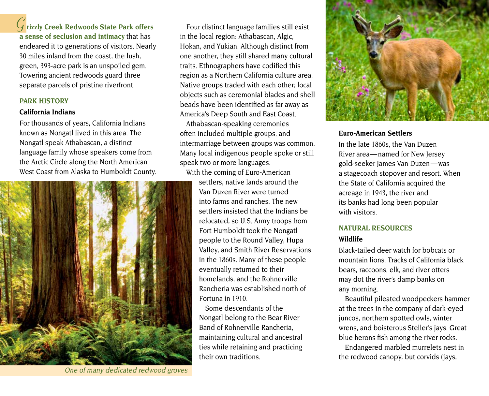**Grizzly Creek Redwoods State Park offers** 

**a sense of seclusion and intimacy** that has endeared it to generations of visitors. Nearly 30 miles inland from the coast, the lush, green, 393-acre park is an unspoiled gem. Towering ancient redwoods guard three separate parcels of pristine riverfront.

#### **PARK HISTORY**

#### **California Indians**

For thousands of years, California Indians known as Nongatl lived in this area. The Nongatl speak Athabascan, a distinct language family whose speakers come from the Arctic Circle along the North American West Coast from Alaska to Humboldt County.



One of many dedicated redwood groves

Four distinct language families still exist in the local region: Athabascan, Algic, Hokan, and Yukian. Although distinct from one another, they still shared many cultural traits. Ethnographers have codified this region as a Northern California culture area. Native groups traded with each other; local objects such as ceremonial blades and shell beads have been identified as far away as America's Deep South and East Coast.

Athabascan-speaking ceremonies often included multiple groups, and intermarriage between groups was common. Many local indigenous people spoke or still speak two or more languages.

With the coming of Euro-American settlers, native lands around the Van Duzen River were turned into farms and ranches. The new settlers insisted that the Indians be relocated, so U.S. Army troops from Fort Humboldt took the Nongatl people to the Round Valley, Hupa Valley, and Smith River Reservations in the 1860s. Many of these people eventually returned to their homelands, and the Rohnerville Rancheria was established north of Fortuna in 1910.

> Some descendants of the Nongatl belong to the Bear River Band of Rohnerville Rancheria, maintaining cultural and ancestral ties while retaining and practicing their own traditions.



#### **Euro-American Settlers**

In the late 1860s, the Van Duzen River area — named for New Jersey gold-seeker James Van Duzen — was a stagecoach stopover and resort. When the State of California acquired the acreage in 1943, the river and its banks had long been popular with visitors.

## **NATURAL RESOURCES**

#### **Wildlife**

Black-tailed deer watch for bobcats or mountain lions. Tracks of California black bears, raccoons, elk, and river otters may dot the river's damp banks on any morning.

Beautiful pileated woodpeckers hammer at the trees in the company of dark-eyed juncos, northern spotted owls, winter wrens, and boisterous Steller's jays. Great blue herons fish among the river rocks.

Endangered marbled murrelets nest in the redwood canopy, but corvids (jays,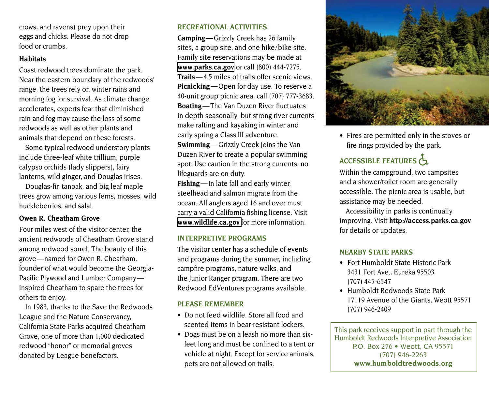crows, and ravens) prey upon their eggs and chicks. Please do not drop food or crumbs.

#### **Habitats**

Coast redwood trees dominate the park. Near the eastern boundary of the redwoods' range, the trees rely on winter rains and morning fog for survival. As climate change accelerates, experts fear that diminished rain and fog may cause the loss of some redwoods as well as other plants and animals that depend on these forests.

Some typical redwood understory plants include three-leaf white trillium, purple calypso orchids (lady slippers), fairy lanterns, wild ginger, and Douglas irises.

Douglas-fir, tanoak, and big leaf maple trees grow among various ferns, mosses, wild huckleberries, and salal.

#### **Owen R. Cheatham Grove**

Four miles west of the visitor center, the ancient redwoods of Cheatham Grove stand among redwood sorrel. The beauty of this grove — named for Owen R. Cheatham, founder of what would become the Georgia-Pacific Plywood and Lumber Companyinspired Cheatham to spare the trees for others to enjoy.

In 1983, thanks to the Save the Redwoods League and the Nature Conservancy, California State Parks acquired Cheatham Grove, one of more than 1,000 dedicated redwood "honor" or memorial groves donated by League benefactors.

#### **RECREATIONAL ACTIVITIES**

**Camping —** Grizzly Creek has 26 family sites, a group site, and one hike/bike site. Family site reservations may be made at **[www.parks.ca.gov](http://www.parks.ca.gov)** or call (800) 444-7275. **Trails —** 4.5 miles of trails offer scenic views. **Picnicking —** Open for day use. To reserve a 40-unit group picnic area, call (707) 777-3683. **Boating —** The Van Duzen River fluctuates in depth seasonally, but strong river currents make rafting and kayaking in winter and early spring a Class III adventure.

**Swimming** — Grizzly Creek joins the Van Duzen River to create a popular swimming spot. Use caution in the strong currents; no lifeguards are on duty.

**Fishing —** In late fall and early winter, steelhead and salmon migrate from the ocean. All anglers aged 16 and over must carry a valid California fishing license. Visit **[www.wildlife.ca.gov](http://www.wildlife.ca.gov)** for more information.

#### **INTERPRETIVE PROGRAMS**

The visitor center has a schedule of events and programs during the summer, including campfire programs, nature walks, and the Junior Ranger program. There are two Redwood EdVentures programs available.

#### **PLEASE REMEMBER**

- Do not feed wildlife. Store all food and scented items in bear-resistant lockers.
- Dogs must be on a leash no more than sixfeet long and must be confined to a tent or vehicle at night. Except for service animals, pets are not allowed on trails.



• Fires are permitted only in the stoves or fire rings provided by the park.

## ACCESSIBLE FEATURES

Within the campground, two campsites and a shower/toilet room are generally accessible. The picnic area is usable, but assistance may be needed.

Accessibility in parks is continually improving. Visit **<http://access.parks.ca.gov>** for details or updates.

#### **NEARBY STATE PARKS**

- Fort Humboldt State Historic Park 3431 Fort Ave., Eureka 95503 (707) 445-6547
- Humboldt Redwoods State Park 17119 Avenue of the Giants, Weott 95571 (707) 946-2409

This park receives support in part through the Humboldt Redwoods Interpretive Association P.O. Box 276 • Weott, CA 95571 (707) 946-2263 **[www.humboldtredwoods.org](https://www.humboldtredwoods.org)**